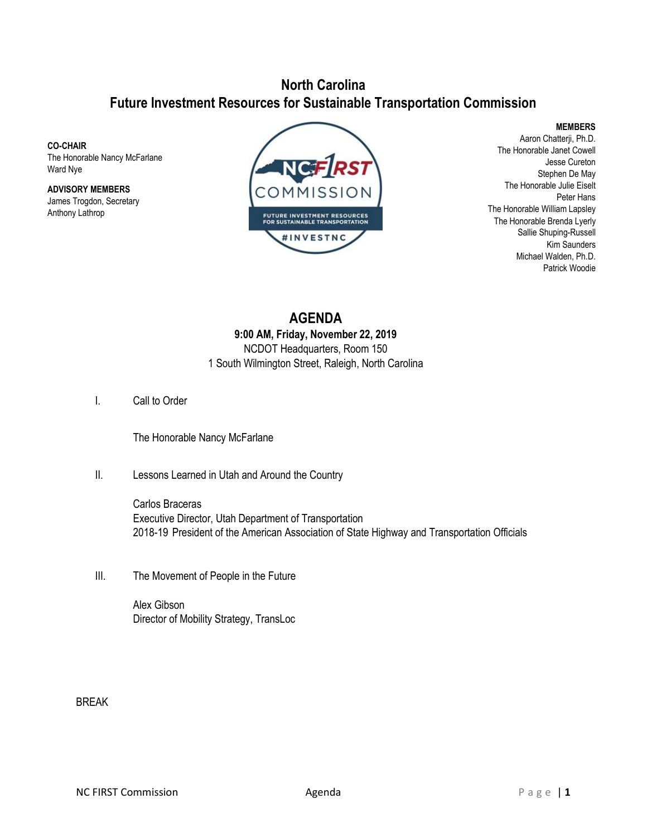## **North Carolina Future Investment Resources for Sustainable Transportation Commission**

**CO-CHAIR** The Honorable Nancy McFarlane Ward Nye

**ADVISORY MEMBERS** James Trogdon, Secretary Anthony Lathrop



**MEMBERS**

Aaron Chatterji, Ph.D. The Honorable Janet Cowell Jesse Cureton Stephen De May The Honorable Julie Eiselt Peter Hans The Honorable William Lapsley The Honorable Brenda Lyerly Sallie Shuping-Russell Kim Saunders Michael Walden, Ph.D. Patrick Woodie

**AGENDA 9:00 AM, Friday, November 22, 2019** NCDOT Headquarters, Room 150 1 South Wilmington Street, Raleigh, North Carolina

I. Call to Order

The Honorable Nancy McFarlane

II. Lessons Learned in Utah and Around the Country

Carlos Braceras Executive Director, Utah Department of Transportation 2018-19 President of the American Association of State Highway and Transportation Officials

III. The Movement of People in the Future

Alex Gibson Director of Mobility Strategy, TransLoc

BREAK